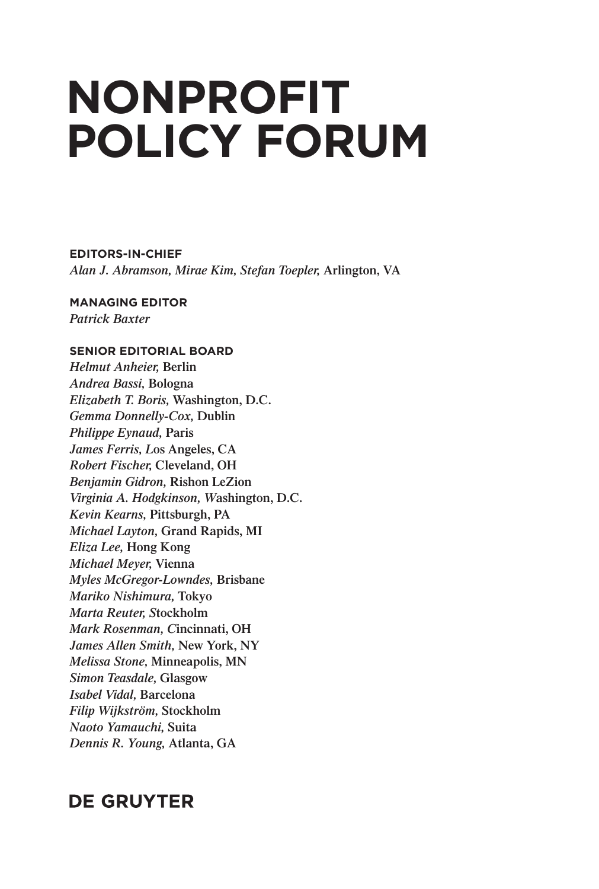## **NONPROFIT POLICY FORUM**

**EDITORS-IN-CHIEF** *Alan J. Abramson, Mirae Kim, Stefan Toepler,* **Arlington, VA**

**MANAGING EDITOR** *Patrick Baxter*

## **SENIOR EDITORIAL BOARD**

*Helmut Anheier,* **Berlin** *Andrea Bassi,* **Bologna** *Elizabeth T. Boris,* **Washington, D.C.** *Gemma Donnelly-Cox,* **Dublin** *Philippe Eynaud,* **Paris** *James Ferris, L***os Angeles, CA** *Robert Fischer,* **Cleveland, OH** *Benjamin Gidron,* **Rishon LeZion** *Virginia A. Hodgkinson, W***ashington, D.C.** *Kevin Kearns,* **Pittsburgh, PA** *Michael Layton,* **Grand Rapids, MI** *Eliza Lee,* **Hong Kong** *Michael Meyer,* **Vienna** *Myles McGregor-Lowndes,* **Brisbane** *Mariko Nishimura,* **Tokyo** *Marta Reuter, S***tockholm** *Mark Rosenman, C***incinnati, OH** *James Allen Smith,* **New York, NY** *Melissa Stone,* **Minneapolis, MN** *Simon Teasdale,* **Glasgow** *Isabel Vidal,* **Barcelona** *Filip Wijkström,* **Stockholm** *Naoto Yamauchi,* **Suita** *Dennis R. Young,* **Atlanta, GA**

## **DE GRUYTER**